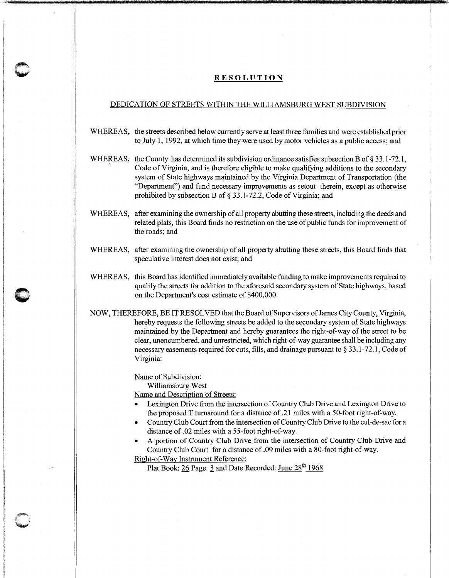## **0** RESOLUTION

## DEDICATION OF STREETS WITHIN THE WILLIAMSBURG WEST SUBDIVISION

- WHEREAS, the streets described below currently serve at least three families and were established prior to July 1, 1992, at which time they were used by motor vehicles as a public access; and
- WHEREAS, the County has determined its subdivision ordinance satisfies subsection B of § 33.1-72.1, Code of Virginia, and is therefore eligible to make qualifying additions to the secondary system of State highways maintained by the Virginia Department of Transportation (the "Department") and fund necessary improvements as setout therein, except as otherwise prohibited by subsection B of§ 33.1-72.2, Code of Virginia; and
- WHEREAS, after examining the ownership of all property abutting these streets, including the deeds and related plats, this Board finds no restriction on the use of public funds for improvement of the roads; and
- WHEREAS, after examining the ownership of all property abutting these streets, this Board finds that speculative interest does not exist; and
- WHEREAS, this Board has identified immediately available funding to make improvements required to qualify the streets for addition to the aforesaid secondary system of State highways, based on the Department's cost estimate of \$400,000.
- NOW, THEREFORE, BE IT RESOLVED that the Board of Supervisors of James City County, Virginia, hereby requests the following streets be added to the secondary system of State highways maintained by the Department and hereby guarantees the right-of-way of the street to be clear, unencumbered, and unrestricted, which right-of-way guarantee shall be including any necessary easements required for cuts, fills, and drainage pursuant to § 33.1-72.1, Code of Virginia:

Name of Subdivision:

Williamsburg West

Name and Description of Streets:

- Lexington Drive from the intersection of Country Club Drive and Lexington Drive to the proposed T turnaround for a distance of .21 miles with a 50-foot right-of-way.
- Country Club Court from the intersection of Country Club Drive to the cul-de-sac for a distance of .02 miles with a 55-foot right-of-way.
- A portion of Country Club Drive from the intersection of Country Club Drive and Country Club Court for a distance of .09 miles with a 80-foot right-of-way.

Right-of-Way Instrument Reference:

Plat Book: 26 Page: 3 and Date Recorded: June  $28^{\text{th}}$  1968